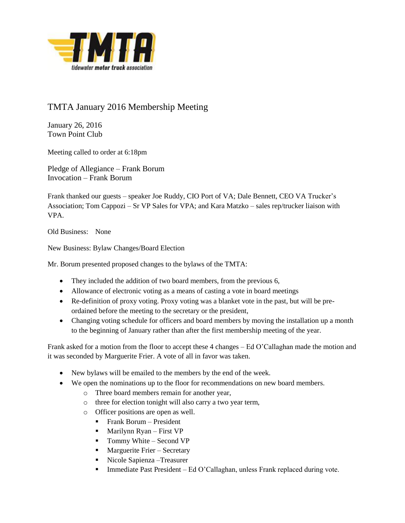

## TMTA January 2016 Membership Meeting

January 26, 2016 Town Point Club

Meeting called to order at 6:18pm

Pledge of Allegiance – Frank Borum Invocation – Frank Borum

Frank thanked our guests – speaker Joe Ruddy, CIO Port of VA; Dale Bennett, CEO VA Trucker's Association; Tom Cappozi – Sr VP Sales for VPA; and Kara Matzko – sales rep/trucker liaison with VPA.

Old Business: None

New Business: Bylaw Changes/Board Election

Mr. Borum presented proposed changes to the bylaws of the TMTA:

- They included the addition of two board members, from the previous 6,
- Allowance of electronic voting as a means of casting a vote in board meetings
- Re-definition of proxy voting. Proxy voting was a blanket vote in the past, but will be preordained before the meeting to the secretary or the president,
- Changing voting schedule for officers and board members by moving the installation up a month to the beginning of January rather than after the first membership meeting of the year.

Frank asked for a motion from the floor to accept these 4 changes – Ed O'Callaghan made the motion and it was seconded by Marguerite Frier. A vote of all in favor was taken.

- New bylaws will be emailed to the members by the end of the week.
- We open the nominations up to the floor for recommendations on new board members.
	- o Three board members remain for another year,
	- o three for election tonight will also carry a two year term,
	- o Officer positions are open as well.
		- **Frank Borum President**
		- $\blacksquare$  Marilynn Ryan First VP
		- $\blacksquare$  Tommy White Second VP
		- **Marguerite Frier Secretary**
		- Nicole Sapienza –Treasurer
		- Immediate Past President Ed O'Callaghan, unless Frank replaced during vote.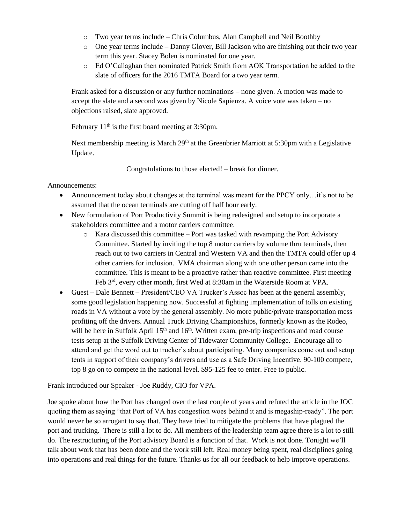- o Two year terms include Chris Columbus, Alan Campbell and Neil Boothby
- o One year terms include Danny Glover, Bill Jackson who are finishing out their two year term this year. Stacey Bolen is nominated for one year.
- o Ed O'Callaghan then nominated Patrick Smith from AOK Transportation be added to the slate of officers for the 2016 TMTA Board for a two year term.

Frank asked for a discussion or any further nominations – none given. A motion was made to accept the slate and a second was given by Nicole Sapienza. A voice vote was taken – no objections raised, slate approved.

February  $11<sup>th</sup>$  is the first board meeting at 3:30pm.

Next membership meeting is March  $29<sup>th</sup>$  at the Greenbrier Marriott at 5:30pm with a Legislative Update.

Congratulations to those elected! – break for dinner.

Announcements:

- Announcement today about changes at the terminal was meant for the PPCY only…it's not to be assumed that the ocean terminals are cutting off half hour early.
- New formulation of Port Productivity Summit is being redesigned and setup to incorporate a stakeholders committee and a motor carriers committee.
	- $\circ$  Kara discussed this committee Port was tasked with revamping the Port Advisory Committee. Started by inviting the top 8 motor carriers by volume thru terminals, then reach out to two carriers in Central and Western VA and then the TMTA could offer up 4 other carriers for inclusion. VMA chairman along with one other person came into the committee. This is meant to be a proactive rather than reactive committee. First meeting Feb 3rd, every other month, first Wed at 8:30am in the Waterside Room at VPA.
- Guest Dale Bennett President/CEO VA Trucker's Assoc has been at the general assembly, some good legislation happening now. Successful at fighting implementation of tolls on existing roads in VA without a vote by the general assembly. No more public/private transportation mess profiting off the drivers. Annual Truck Driving Championships, formerly known as the Rodeo, will be here in Suffolk April  $15<sup>th</sup>$  and  $16<sup>th</sup>$ . Written exam, pre-trip inspections and road course tests setup at the Suffolk Driving Center of Tidewater Community College. Encourage all to attend and get the word out to trucker's about participating. Many companies come out and setup tents in support of their company's drivers and use as a Safe Driving Incentive. 90-100 compete, top 8 go on to compete in the national level. \$95-125 fee to enter. Free to public.

Frank introduced our Speaker - Joe Ruddy, CIO for VPA.

Joe spoke about how the Port has changed over the last couple of years and refuted the article in the JOC quoting them as saying "that Port of VA has congestion woes behind it and is megaship-ready". The port would never be so arrogant to say that. They have tried to mitigate the problems that have plagued the port and trucking. There is still a lot to do. All members of the leadership team agree there is a lot to still do. The restructuring of the Port advisory Board is a function of that. Work is not done. Tonight we'll talk about work that has been done and the work still left. Real money being spent, real disciplines going into operations and real things for the future. Thanks us for all our feedback to help improve operations.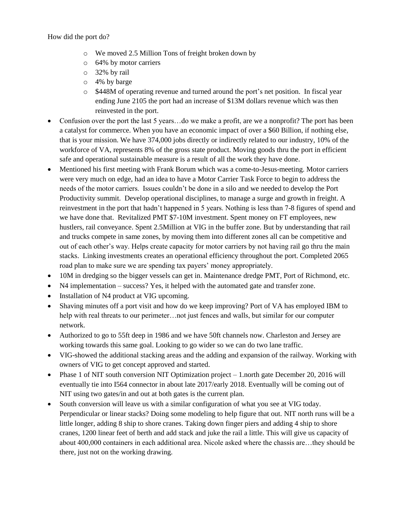How did the port do?

- o We moved 2.5 Million Tons of freight broken down by
- o 64% by motor carriers
- o 32% by rail
- o 4% by barge
- o \$448M of operating revenue and turned around the port's net position. In fiscal year ending June 2105 the port had an increase of \$13M dollars revenue which was then reinvested in the port.
- Confusion over the port the last 5 years…do we make a profit, are we a nonprofit? The port has been a catalyst for commerce. When you have an economic impact of over a \$60 Billion, if nothing else, that is your mission. We have 374,000 jobs directly or indirectly related to our industry, 10% of the workforce of VA, represents 8% of the gross state product. Moving goods thru the port in efficient safe and operational sustainable measure is a result of all the work they have done.
- Mentioned his first meeting with Frank Borum which was a come-to-Jesus-meeting. Motor carriers were very much on edge, had an idea to have a Motor Carrier Task Force to begin to address the needs of the motor carriers. Issues couldn't be done in a silo and we needed to develop the Port Productivity summit. Develop operational disciplines, to manage a surge and growth in freight. A reinvestment in the port that hadn't happened in 5 years. Nothing is less than 7-8 figures of spend and we have done that. Revitalized PMT \$7-10M investment. Spent money on FT employees, new hustlers, rail conveyance. Spent 2.5Million at VIG in the buffer zone. But by understanding that rail and trucks compete in same zones, by moving them into different zones all can be competitive and out of each other's way. Helps create capacity for motor carriers by not having rail go thru the main stacks. Linking investments creates an operational efficiency throughout the port. Completed 2065 road plan to make sure we are spending tax payers' money appropriately.
- 10M in dredging so the bigger vessels can get in. Maintenance dredge PMT, Port of Richmond, etc.
- N4 implementation success? Yes, it helped with the automated gate and transfer zone.
- Installation of N4 product at VIG upcoming.
- Shaving minutes off a port visit and how do we keep improving? Port of VA has employed IBM to help with real threats to our perimeter…not just fences and walls, but similar for our computer network.
- Authorized to go to 55ft deep in 1986 and we have 50ft channels now. Charleston and Jersey are working towards this same goal. Looking to go wider so we can do two lane traffic.
- VIG-showed the additional stacking areas and the adding and expansion of the railway. Working with owners of VIG to get concept approved and started.
- Phase 1 of NIT south conversion NIT Optimization project  $-1$  north gate December 20, 2016 will eventually tie into I564 connector in about late 2017/early 2018. Eventually will be coming out of NIT using two gates/in and out at both gates is the current plan.
- South conversion will leave us with a similar configuration of what you see at VIG today. Perpendicular or linear stacks? Doing some modeling to help figure that out. NIT north runs will be a little longer, adding 8 ship to shore cranes. Taking down finger piers and adding 4 ship to shore cranes, 1200 linear feet of berth and add stack and juke the rail a little. This will give us capacity of about 400,000 containers in each additional area. Nicole asked where the chassis are…they should be there, just not on the working drawing.